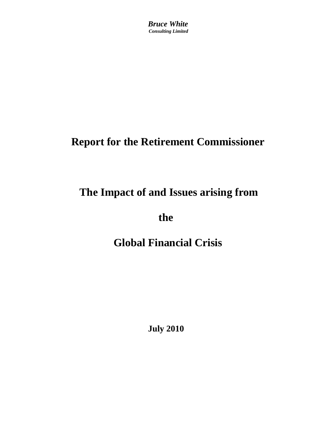*Bruce White Consulting Limited*

# **Report for the Retirement Commissioner**

# **The Impact of and Issues arising from**

 **the** 

# **Global Financial Crisis**

**July 2010**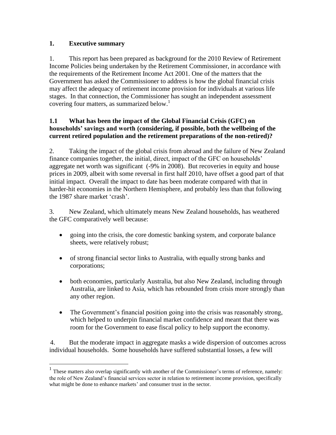## **1. Executive summary**

 $\overline{a}$ 

1. This report has been prepared as background for the 2010 Review of Retirement Income Policies being undertaken by the Retirement Commissioner, in accordance with the requirements of the Retirement Income Act 2001. One of the matters that the Government has asked the Commissioner to address is how the global financial crisis may affect the adequacy of retirement income provision for individuals at various life stages. In that connection, the Commissioner has sought an independent assessment covering four matters, as summarized below.<sup>1</sup>

## **1.1 What has been the impact of the Global Financial Crisis (GFC) on households' savings and worth (considering, if possible, both the wellbeing of the current retired population and the retirement preparations of the non-retired)?**

2. Taking the impact of the global crisis from abroad and the failure of New Zealand finance companies together, the initial, direct, impact of the GFC on households' aggregate net worth was significant (-9% in 2008). But recoveries in equity and house prices in 2009, albeit with some reversal in first half 2010, have offset a good part of that initial impact. Overall the impact to date has been moderate compared with that in harder-hit economies in the Northern Hemisphere, and probably less than that following the 1987 share market 'crash'.

3. New Zealand, which ultimately means New Zealand households, has weathered the GFC comparatively well because:

- going into the crisis, the core domestic banking system, and corporate balance sheets, were relatively robust;
- of strong financial sector links to Australia, with equally strong banks and corporations;
- both economies, particularly Australia, but also New Zealand, including through Australia, are linked to Asia, which has rebounded from crisis more strongly than any other region.
- The Government's financial position going into the crisis was reasonably strong, which helped to underpin financial market confidence and meant that there was room for the Government to ease fiscal policy to help support the economy.

4. But the moderate impact in aggregate masks a wide dispersion of outcomes across individual households. Some households have suffered substantial losses, a few will

<sup>&</sup>lt;sup>1</sup> These matters also overlap significantly with another of the Commissioner's terms of reference, namely: the role of New Zealand's financial services sector in relation to retirement income provision, specifically what might be done to enhance markets' and consumer trust in the sector.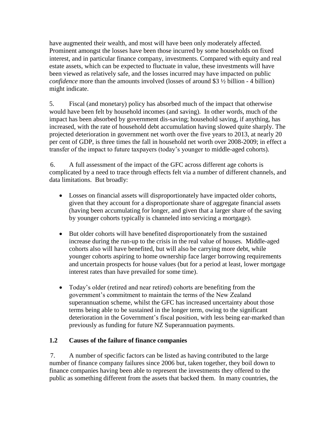have augmented their wealth, and most will have been only moderately affected. Prominent amongst the losses have been those incurred by some households on fixed interest, and in particular finance company, investments. Compared with equity and real estate assets, which can be expected to fluctuate in value, these investments will have been viewed as relatively safe, and the losses incurred may have impacted on public *confidence* more than the amounts involved (losses of around \$3  $\frac{1}{2}$  billion - 4 billion) might indicate.

5. Fiscal (and monetary) policy has absorbed much of the impact that otherwise would have been felt by household incomes (and saving). In other words, much of the impact has been absorbed by government dis-saving; household saving, if anything, has increased, with the rate of household debt accumulation having slowed quite sharply. The projected deterioration in government net worth over the five years to 2013, at nearly 20 per cent of GDP, is three times the fall in household net worth over 2008-2009; in effect a transfer of the impact to future taxpayers (today's younger to middle-aged cohorts).

6. A full assessment of the impact of the GFC across different age cohorts is complicated by a need to trace through effects felt via a number of different channels, and data limitations. But broadly:

- Losses on financial assets will disproportionately have impacted older cohorts, given that they account for a disproportionate share of aggregate financial assets (having been accumulating for longer, and given that a larger share of the saving by younger cohorts typically is channeled into servicing a mortgage).
- But older cohorts will have benefited disproportionately from the sustained increase during the run-up to the crisis in the real value of houses. Middle-aged cohorts also will have benefited, but will also be carrying more debt, while younger cohorts aspiring to home ownership face larger borrowing requirements and uncertain prospects for house values (but for a period at least, lower mortgage interest rates than have prevailed for some time).
- Today's older (retired and near retired) cohorts are benefiting from the government's commitment to maintain the terms of the New Zealand superannuation scheme, whilst the GFC has increased uncertainty about those terms being able to be sustained in the longer term, owing to the significant deterioration in the Government's fiscal position, with less being ear-marked than previously as funding for future NZ Superannuation payments.

#### **1.2 Causes of the failure of finance companies**

7. A number of specific factors can be listed as having contributed to the large number of finance company failures since 2006 but, taken together, they boil down to finance companies having been able to represent the investments they offered to the public as something different from the assets that backed them. In many countries, the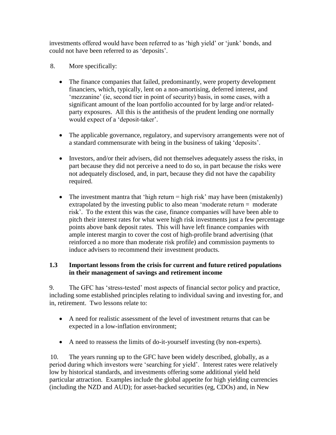investments offered would have been referred to as 'high yield' or 'junk' bonds, and could not have been referred to as 'deposits'.

- 8. More specifically:
	- The finance companies that failed, predominantly, were property development financiers, which, typically, lent on a non-amortising, deferred interest, and 'mezzanine' (ie, second tier in point of security) basis, in some cases, with a significant amount of the loan portfolio accounted for by large and/or relatedparty exposures. All this is the antithesis of the prudent lending one normally would expect of a 'deposit-taker'.
	- The applicable governance, regulatory, and supervisory arrangements were not of a standard commensurate with being in the business of taking 'deposits'.
	- Investors, and/or their advisers, did not themselves adequately assess the risks, in part because they did not perceive a need to do so, in part because the risks were not adequately disclosed, and, in part, because they did not have the capability required.
	- The investment mantra that 'high return  $=$  high risk' may have been (mistakenly) extrapolated by the investing public to also mean 'moderate return = moderate risk'. To the extent this was the case, finance companies will have been able to pitch their interest rates for what were high risk investments just a few percentage points above bank deposit rates. This will have left finance companies with ample interest margin to cover the cost of high-profile brand advertising (that reinforced a no more than moderate risk profile) and commission payments to induce advisers to recommend their investment products.

## **1.3 Important lessons from the crisis for current and future retired populations in their management of savings and retirement income**

9. The GFC has 'stress-tested' most aspects of financial sector policy and practice, including some established principles relating to individual saving and investing for, and in, retirement. Two lessons relate to:

- A need for realistic assessment of the level of investment returns that can be expected in a low-inflation environment;
- A need to reassess the limits of do-it-yourself investing (by non-experts).

10. The years running up to the GFC have been widely described, globally, as a period during which investors were 'searching for yield'. Interest rates were relatively low by historical standards, and investments offering some additional yield held particular attraction. Examples include the global appetite for high yielding currencies (including the NZD and AUD); for asset-backed securities (eg, CDOs) and, in New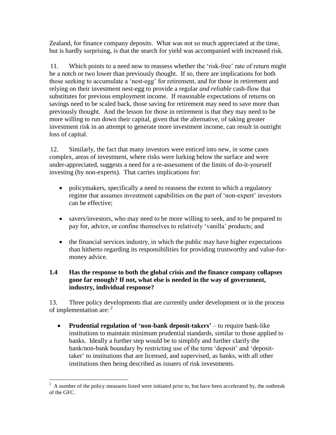Zealand, for finance company deposits. What was not so much appreciated at the time, but is hardly surprising, is that the search for yield was accompanied with increased risk.

11. Which points to a need now to reassess whether the 'risk-free' rate of return might be a notch or two lower than previously thought. If so, there are implications for both those seeking to accumulate a 'nest-egg' for retirement, and for those in retirement and relying on their investment nest-egg to provide a regular *and reliable* cash-flow that substitutes for previous employment income. If reasonable expectations of returns on savings need to be scaled back, those saving for retirement may need to save more than previously thought. And the lesson for those in retirement is that they may need to be more willing to run down their capital, given that the alternative, of taking greater investment risk in an attempt to generate more investment income, can result in outright loss of capital.

12. Similarly, the fact that many investors were enticed into new, in some cases complex, areas of investment, where risks were lurking below the surface and were under-appreciated, suggests a need for a re-assessment of the limits of do-it-yourself investing (by non-experts). That carries implications for:

- policymakers, specifically a need to reassess the extent to which a regulatory regime that assumes investment capabilities on the part of 'non-expert' investors can be effective;
- savers/investors, who may need to be more willing to seek, and to be prepared to pay for, advice, or confine themselves to relatively 'vanilla' products; and
- the financial services industry, in which the public may have higher expectations than hitherto regarding its responsibilities for providing trustworthy and value-formoney advice.

#### **1.4 Has the response to both the global crisis and the finance company collapses gone far enough? If not, what else is needed in the way of government, industry, individual response?**

13. Three policy developments that are currently under development or in the process of implementation are: <sup>2</sup>

 **Prudential regulation of 'non-bank deposit-takers'** – to require bank-like institutions to maintain minimum prudential standards, similar to those applied to banks. Ideally a further step would be to simplify and further clarify the bank/non-bank boundary by restricting use of the term 'deposit' and 'deposittaker' to institutions that are licensed, and supervised, as banks, with all other institutions then being described as issuers of risk investments.

 $\overline{a}$  $2^2$  A number of the policy measures listed were initiated prior to, but have been accelerated by, the outbreak of the GFC.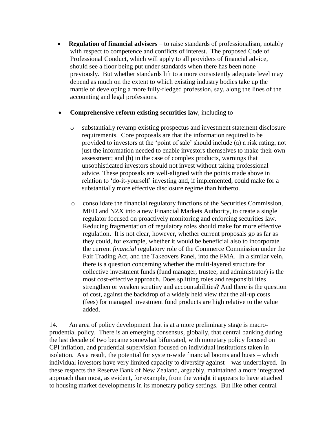**Regulation of financial advisers** – to raise standards of professionalism, notably with respect to competence and conflicts of interest. The proposed Code of Professional Conduct, which will apply to all providers of financial advice, should see a floor being put under standards when there has been none previously. But whether standards lift to a more consistently adequate level may depend as much on the extent to which existing industry bodies take up the mantle of developing a more fully-fledged profession, say, along the lines of the accounting and legal professions.

#### **Comprehensive reform existing securities law**, including to –

- o substantially revamp existing prospectus and investment statement disclosure requirements. Core proposals are that the information required to be provided to investors at the 'point of sale' should include (a) a risk rating, not just the information needed to enable investors themselves to make their own assessment; and (b) in the case of complex products, warnings that unsophisticated investors should not invest without taking professional advice. These proposals are well-aligned with the points made above in relation to 'do-it-yourself' investing and, if implemented, could make for a substantially more effective disclosure regime than hitherto.
- o consolidate the financial regulatory functions of the Securities Commission, MED and NZX into a new Financial Markets Authority, to create a single regulator focused on proactively monitoring and enforcing securities law. Reducing fragmentation of regulatory roles should make for more effective regulation. It is not clear, however, whether current proposals go as far as they could, for example, whether it would be beneficial also to incorporate the current *financial* regulatory role of the Commerce Commission under the Fair Trading Act, and the Takeovers Panel, into the FMA. In a similar vein, there is a question concerning whether the multi-layered structure for collective investment funds (fund manager, trustee, and administrator) is the most cost-effective approach. Does splitting roles and responsibilities strengthen or weaken scrutiny and accountabilities? And there is the question of cost, against the backdrop of a widely held view that the all-up costs (fees) for managed investment fund products are high relative to the value added.

14. An area of policy development that is at a more preliminary stage is macroprudential policy. There is an emerging consensus, globally, that central banking during the last decade of two became somewhat bifurcated, with monetary policy focused on CPI inflation, and prudential supervision focused on individual institutions taken in isolation. As a result, the potential for system-wide financial booms and busts – which individual investors have very limited capacity to diversify against – was underplayed. In these respects the Reserve Bank of New Zealand, arguably, maintained a more integrated approach than most, as evident, for example, from the weight it appears to have attached to housing market developments in its monetary policy settings. But like other central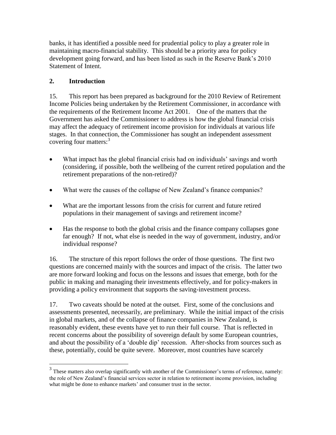banks, it has identified a possible need for prudential policy to play a greater role in maintaining macro-financial stability. This should be a priority area for policy development going forward, and has been listed as such in the Reserve Bank's 2010 Statement of Intent.

# **2. Introduction**

 $\overline{a}$ 

15. This report has been prepared as background for the 2010 Review of Retirement Income Policies being undertaken by the Retirement Commissioner, in accordance with the requirements of the Retirement Income Act 2001. One of the matters that the Government has asked the Commissioner to address is how the global financial crisis may affect the adequacy of retirement income provision for individuals at various life stages. In that connection, the Commissioner has sought an independent assessment covering four matters: 3

- What impact has the global financial crisis had on individuals' savings and worth (considering, if possible, both the wellbeing of the current retired population and the retirement preparations of the non-retired)?
- What were the causes of the collapse of New Zealand's finance companies?
- What are the important lessons from the crisis for current and future retired populations in their management of savings and retirement income?
- Has the response to both the global crisis and the finance company collapses gone far enough? If not, what else is needed in the way of government, industry, and/or individual response?

16. The structure of this report follows the order of those questions. The first two questions are concerned mainly with the sources and impact of the crisis. The latter two are more forward looking and focus on the lessons and issues that emerge, both for the public in making and managing their investments effectively, and for policy-makers in providing a policy environment that supports the saving-investment process.

17. Two caveats should be noted at the outset. First, some of the conclusions and assessments presented, necessarily, are preliminary. While the initial impact of the crisis in global markets, and of the collapse of finance companies in New Zealand, is reasonably evident, these events have yet to run their full course. That is reflected in recent concerns about the possibility of sovereign default by some European countries, and about the possibility of a 'double dip' recession. After-shocks from sources such as these, potentially, could be quite severe. Moreover, most countries have scarcely

 $3$  These matters also overlap significantly with another of the Commissioner's terms of reference, namely: the role of New Zealand's financial services sector in relation to retirement income provision, including what might be done to enhance markets' and consumer trust in the sector.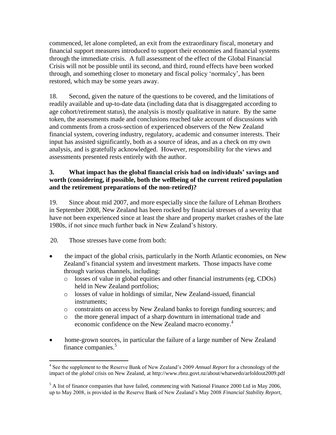commenced, let alone completed, an exit from the extraordinary fiscal, monetary and financial support measures introduced to support their economies and financial systems through the immediate crisis. A full assessment of the effect of the Global Financial Crisis will not be possible until its second, and third, round effects have been worked through, and something closer to monetary and fiscal policy 'normalcy', has been restored, which may be some years away.

18. Second, given the nature of the questions to be covered, and the limitations of readily available and up-to-date data (including data that is disaggregated according to age cohort/retirement status), the analysis is mostly qualitative in nature. By the same token, the assessments made and conclusions reached take account of discussions with and comments from a cross-section of experienced observers of the New Zealand financial system, covering industry, regulatory, academic and consumer interests. Their input has assisted significantly, both as a source of ideas, and as a check on my own analysis, and is gratefully acknowledged. However, responsibility for the views and assessments presented rests entirely with the author.

#### **3. What impact has the global financial crisis had on individuals' savings and worth (considering, if possible, both the wellbeing of the current retired population and the retirement preparations of the non-retired)?**

19. Since about mid 2007, and more especially since the failure of Lehman Brothers in September 2008, New Zealand has been rocked by financial stresses of a severity that have not been experienced since at least the share and property market crashes of the late 1980s, if not since much further back in New Zealand's history.

20. Those stresses have come from both:

- the impact of the global crisis, particularly in the North Atlantic economies, on New Zealand's financial system and investment markets. Those impacts have come through various channels, including:
	- o losses of value in global equities and other financial instruments (eg, CDOs) held in New Zealand portfolios;
	- o losses of value in holdings of similar, New Zealand-issued, financial instruments;
	- o constraints on access by New Zealand banks to foreign funding sources; and
	- o the more general impact of a sharp downturn in international trade and economic confidence on the New Zealand macro economy. 4
- home-grown sources, in particular the failure of a large number of New Zealand finance companies.<sup>5</sup>

<sup>4</sup> See the supplement to the Reserve Bank of New Zealand's 2009 *Annual Report* for a chronology of the impact of the *global* crisis on New Zealand, at http://www.rbnz.govt.nz/about/whatwedo/arfoldout2009.pdf

 $<sup>5</sup>$  A list of finance companies that have failed, commencing with National Finance 2000 Ltd in May 2006,</sup> up to May 2008, is provided in the Reserve Bank of New Zealand's May 2008 *Financial Stability Report,*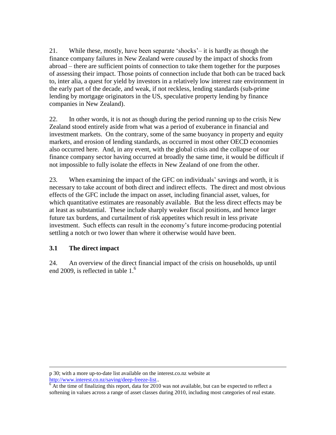21. While these, mostly, have been separate 'shocks'– it is hardly as though the finance company failures in New Zealand were *caused* by the impact of shocks from abroad – there are sufficient points of connection to take them together for the purposes of assessing their impact. Those points of connection include that both can be traced back to, inter alia, a quest for yield by investors in a relatively low interest rate environment in the early part of the decade, and weak, if not reckless, lending standards (sub-prime lending by mortgage originators in the US, speculative property lending by finance companies in New Zealand).

22. In other words, it is not as though during the period running up to the crisis New Zealand stood entirely aside from what was a period of exuberance in financial and investment markets. On the contrary, some of the same buoyancy in property and equity markets, and erosion of lending standards, as occurred in most other OECD economies also occurred here. And, in any event, with the global crisis and the collapse of our finance company sector having occurred at broadly the same time, it would be difficult if not impossible to fully isolate the effects in New Zealand of one from the other.

23. When examining the impact of the GFC on individuals' savings and worth, it is necessary to take account of both direct and indirect effects. The direct and most obvious effects of the GFC include the impact on asset, including financial asset, values, for which quantitative estimates are reasonably available. But the less direct effects may be at least as substantial. These include sharply weaker fiscal positions, and hence larger future tax burdens, and curtailment of risk appetites which result in less private investment. Such effects can result in the economy's future income-producing potential settling a notch or two lower than where it otherwise would have been.

#### **3.1 The direct impact**

 $\overline{a}$ 

24. An overview of the direct financial impact of the crisis on households, up until end 2009, is reflected in table 1.<sup>6</sup>

p 30; with a more up-to-date list available on the interest.co.nz website at <http://www.interest.co.nz/saving/deep-freeze-list>..

 $\frac{6}{6}$  At the time of finalizing this report, data for 2010 was not available, but can be expected to reflect a softening in values across a range of asset classes during 2010, including most categories of real estate.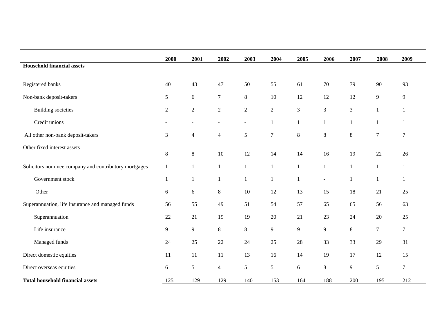|                                                       | 2000           | 2001           | 2002             | 2003                     | 2004             | 2005         | 2006           | 2007           | 2008           | 2009             |
|-------------------------------------------------------|----------------|----------------|------------------|--------------------------|------------------|--------------|----------------|----------------|----------------|------------------|
| <b>Household financial assets</b>                     |                |                |                  |                          |                  |              |                |                |                |                  |
| Registered banks                                      | 40             | 43             | 47               | 50                       | 55               | 61           | $70\,$         | 79             | 90             | 93               |
| Non-bank deposit-takers                               | 5              | 6              | $\tau$           | $8\,$                    | 10               | 12           | 12             | 12             | 9              | 9                |
| <b>Building societies</b>                             | $\overline{2}$ | $\overline{2}$ | $\boldsymbol{2}$ | $\sqrt{2}$               | $\overline{2}$   | 3            | 3              | $\overline{3}$ | $\mathbf{1}$   | 1                |
| Credit unions                                         | $\sim$         | $\blacksquare$ | $\sim$           | $\overline{\phantom{a}}$ | $\mathbf{1}$     | 1            | 1              | 1              | $\mathbf{1}$   | 1                |
| All other non-bank deposit-takers                     | 3              | $\overline{4}$ | $\overline{4}$   | 5                        | $\boldsymbol{7}$ | $8\,$        | 8              | $8\,$          | $\overline{7}$ | $\overline{7}$   |
| Other fixed interest assets                           | $8\,$          | 8              | $10\,$           | 12                       | 14               | 14           | 16             | 19             | 22             | 26               |
| Solicitors nominee company and contributory mortgages | 1              | $\mathbf{1}$   | $\mathbf{1}$     | $\mathbf{1}$             | $\mathbf{1}$     | $\mathbf{1}$ | $\mathbf{1}$   | $\mathbf{1}$   | $\mathbf{1}$   | $\mathbf{1}$     |
| Government stock                                      | 1              | $\mathbf{1}$   | $\mathbf{1}$     | $\mathbf{1}$             | $\mathbf{1}$     | $\mathbf{1}$ | $\blacksquare$ | 1              | $\mathbf{1}$   | $\mathbf{1}$     |
| Other                                                 | 6              | 6              | $8\,$            | 10                       | 12               | 13           | 15             | 18             | 21             | 25               |
| Superannuation, life insurance and managed funds      | 56             | 55             | 49               | 51                       | 54               | 57           | 65             | 65             | 56             | 63               |
| Superannuation                                        | 22             | 21             | 19               | 19                       | 20               | 21           | 23             | 24             | 20             | 25               |
| Life insurance                                        | 9              | 9              | $8\,$            | $8\,$                    | 9                | 9            | 9              | 8              | $\overline{7}$ | $\boldsymbol{7}$ |
| Managed funds                                         | 24             | 25             | 22               | 24                       | 25               | $28\,$       | 33             | 33             | 29             | 31               |
| Direct domestic equities                              | 11             | 11             | 11               | 13                       | 16               | 14           | 19             | 17             | 12             | 15               |
| Direct overseas equities                              | 6              | 5              | $\overline{4}$   | $\sqrt{5}$               | 5                | $6\,$        | 8              | 9              | 5              | $\tau$           |
| <b>Total household financial assets</b>               | 125            | 129            | 129              | 140                      | 153              | 164          | 188            | 200            | 195            | 212              |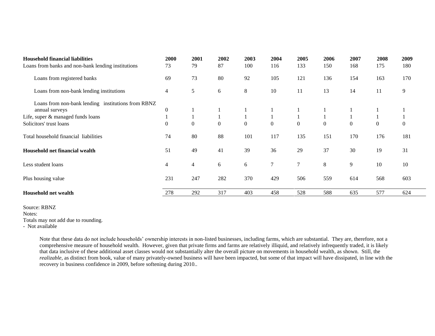| <b>Household financial liabilities</b>             | 2000           | 2001             | 2002             | 2003             | 2004             | 2005             | 2006             | 2007           | 2008           | 2009     |
|----------------------------------------------------|----------------|------------------|------------------|------------------|------------------|------------------|------------------|----------------|----------------|----------|
| Loans from banks and non-bank lending institutions | 73             | 79               | 87               | 100              | 116              | 133              | 150              | 168            | 175            | 180      |
| Loans from registered banks                        | 69             | 73               | 80               | 92               | 105              | 121              | 136              | 154            | 163            | 170      |
| Loans from non-bank lending institutions           | 4              | 5                | 6                | 8                | 10               | 11               | 13               | 14             | 11             | 9        |
| Loans from non-bank lending institutions from RBNZ |                |                  |                  |                  |                  |                  |                  |                |                |          |
| annual surveys                                     | $\mathbf{0}$   |                  |                  |                  |                  |                  |                  |                |                |          |
| Life, super & managed funds loans                  |                |                  |                  |                  |                  |                  |                  |                |                |          |
| Solicitors' trust loans                            | $\overline{0}$ | $\boldsymbol{0}$ | $\boldsymbol{0}$ | $\boldsymbol{0}$ | $\boldsymbol{0}$ | $\boldsymbol{0}$ | $\boldsymbol{0}$ | $\overline{0}$ | $\overline{0}$ | $\theta$ |
| Total household financial liabilities              | 74             | 80               | 88               | 101              | 117              | 135              | 151              | 170            | 176            | 181      |
| Household net financial wealth                     | 51             | 49               | 41               | 39               | 36               | 29               | 37               | 30             | 19             | 31       |
| Less student loans                                 | 4              | 4                | 6                | 6                | $\tau$           | 7                | 8                | 9              | 10             | 10       |
| Plus housing value                                 | 231            | 247              | 282              | 370              | 429              | 506              | 559              | 614            | 568            | 603      |
| <b>Household net wealth</b>                        | 278            | 292              | 317              | 403              | 458              | 528              | 588              | 635            | 577            | 624      |

Source: RBNZ

Notes:

Totals may not add due to rounding.

- Not available

Note that these data do not include households' ownership interests in non-listed businesses, including farms, which are substantial. They are, therefore, not a comprehensive measure of household wealth. However, given that private firms and farms are relatively illiquid, and relatively infrequently traded, it is likely that data inclusive of these additional asset classes would not substantially alter the overall picture on movements in household wealth, as shown. Still, the *realizable,* as distinct from book, value of many privately-owned business will have been impacted, but some of that impact will have dissipated, in line with the recovery in business confidence in 2009, before softening during 2010..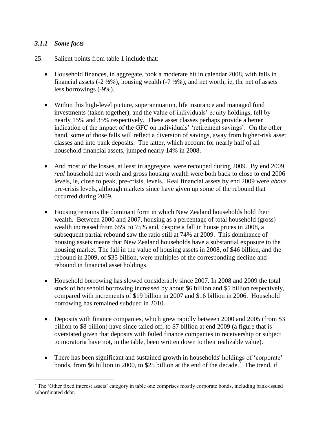#### *3.1.1 Some facts*

- 25. Salient points from table 1 include that:
	- Household finances, in aggregate, took a moderate hit in calendar 2008, with falls in financial assets  $(-2 \frac{1}{2}\%)$ , housing wealth  $(-7 \frac{1}{2}\%)$ , and net worth, ie, the net of assets less borrowings (-9%).
	- Within this high-level picture, superannuation, life insurance and managed fund investments (taken together), and the value of individuals' equity holdings, fell by nearly 15% and 35% respectively. These asset classes perhaps provide a better indication of the impact of the GFC on individuals' 'retirement savings'. On the other hand, some of those falls will reflect a diversion of savings, away from higher-risk asset classes and into bank deposits. The latter, which account for nearly half of all household financial assets, jumped nearly 14% in 2008.
	- And most of the losses, at least in aggregate, were recouped during 2009. By end 2009, *real* household net worth and gross housing wealth were both back to close to end 2006 levels, ie, close to peak, pre-crisis, levels. Real financial assets by end 2009 were *above* pre-crisis levels, although markets since have given up some of the rebound that occurred during 2009.
	- Housing remains the dominant form in which New Zealand households hold their wealth. Between 2000 and 2007, housing as a percentage of total household (gross) wealth increased from 65% to 75% and, despite a fall in house prices in 2008, a subsequent partial rebound saw the ratio still at 74% at 2009. This dominance of housing assets means that New Zealand households have a substantial exposure to the housing market. The fall in the value of housing assets in 2008, of \$46 billion, and the rebound in 2009, of \$35 billion, were multiples of the corresponding decline and rebound in financial asset holdings.
	- Household borrowing has slowed considerably since 2007. In 2008 and 2009 the total stock of household borrowing increased by about \$6 billion and \$5 billion respectively, compared with increments of \$19 billion in 2007 and \$16 billion in 2006. Household borrowing has remained subdued in 2010.
	- Deposits with finance companies, which grew rapidly between 2000 and 2005 (from \$3 billion to \$8 billion) have since tailed off, to \$7 billion at end 2009 (a figure that is overstated given that deposits with failed finance companies in receivership or subject to moratoria have not, in the table, been written down to their realizable value).
	- There has been significant and sustained growth in households' holdings of 'corporate' bonds, from \$6 billion in 2000, to \$25 billion at the end of the decade.<sup>7</sup> The trend, if

 $7$  The 'Other fixed interest assets' category in table one comprises mostly corporate bonds, including bank-issued subordinated debt.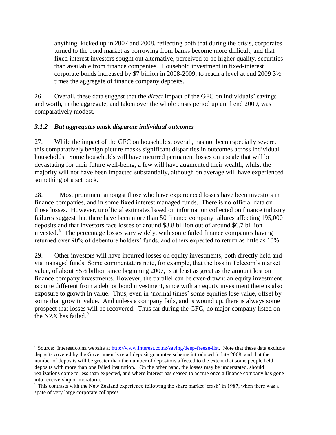anything, kicked up in 2007 and 2008, reflecting both that during the crisis, corporates turned to the bond market as borrowing from banks become more difficult, and that fixed interest investors sought out alternative, perceived to be higher quality, securities than available from finance companies. Household investment in fixed-interest corporate bonds increased by \$7 billion in 2008-2009, to reach a level at end 2009 3½ times the aggregate of finance company deposits.

26. Overall, these data suggest that the *direct* impact of the GFC on individuals' savings and worth, in the aggregate, and taken over the whole crisis period up until end 2009, was comparatively modest.

## *3.1.2 But aggregates mask disparate individual outcomes*

 $\overline{a}$ 

27. While the impact of the GFC on households, overall, has not been especially severe, this comparatively benign picture masks significant disparities in outcomes across individual households. Some households will have incurred permanent losses on a scale that will be devastating for their future well-being, a few will have augmented their wealth, whilst the majority will not have been impacted substantially, although on average will have experienced something of a set back.

28. Most prominent amongst those who have experienced losses have been investors in finance companies, and in some fixed interest managed funds.. There is no official data on those losses. However, unofficial estimates based on information collected on finance industry failures suggest that there have been more than 50 finance company failures affecting 195,000 deposits and that investors face losses of around \$3.8 billion out of around \$6.7 billion invested.  $8$  The percentage losses vary widely, with some failed finance companies having returned over 90% of debenture holders' funds, and others expected to return as little as 10%.

29. Other investors will have incurred losses on equity investments, both directly held and via managed funds. Some commentators note, for example, that the loss in Telecom's market value, of about \$5½ billion since beginning 2007, is at least as great as the amount lost on finance company investments. However, the parallel can be over-drawn: an equity investment is quite different from a debt or bond investment, since with an equity investment there is also exposure to growth in value. Thus, even in 'normal times' some equities lose value, offset by some that grow in value. And unless a company fails, and is wound up, there is always some prospect that losses will be recovered. Thus far during the GFC, no major company listed on the NZX has failed. $9$ 

<sup>&</sup>lt;sup>8</sup> Source: Interest.co.nz website at<http://www.interest.co.nz/saving/deep-freeze-list>. Note that these data exclude deposits covered by the Government's retail deposit guarantee scheme introduced in late 2008, and that the number of deposits will be greater than the number of depositors affected to the extent that some people held deposits with more than one failed institution. On the other hand, the losses may be understated, should realizations come to less than expected, and where interest has ceased to accrue once a finance company has gone into receivership or moratoria.

<sup>&</sup>lt;sup>9</sup> This contrasts with the New Zealand experience following the share market 'crash' in 1987, when there was a spate of very large corporate collapses.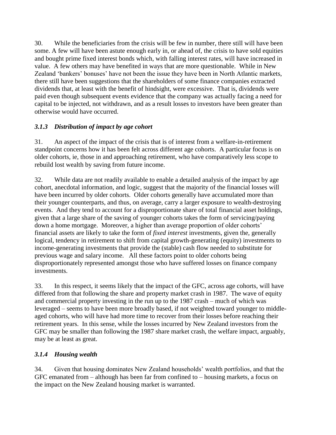30. While the beneficiaries from the crisis will be few in number, there still will have been some. A few will have been astute enough early in, or ahead of, the crisis to have sold equities and bought prime fixed interest bonds which, with falling interest rates, will have increased in value. A few others may have benefited in ways that are more questionable. While in New Zealand 'bankers' bonuses' have not been the issue they have been in North Atlantic markets, there still have been suggestions that the shareholders of some finance companies extracted dividends that, at least with the benefit of hindsight, were excessive. That is, dividends were paid even though subsequent events evidence that the company was actually facing a need for capital to be injected, not withdrawn, and as a result losses to investors have been greater than otherwise would have occurred.

# *3.1.3 Distribution of impact by age cohort*

31. An aspect of the impact of the crisis that is of interest from a welfare-in-retirement standpoint concerns how it has been felt across different age cohorts. A particular focus is on older cohorts, ie, those in and approaching retirement, who have comparatively less scope to rebuild lost wealth by saving from future income.

32. While data are not readily available to enable a detailed analysis of the impact by age cohort, anecdotal information, and logic, suggest that the majority of the financial losses will have been incurred by older cohorts. Older cohorts generally have accumulated more than their younger counterparts, and thus, on average, carry a larger exposure to wealth-destroying events. And they tend to account for a disproportionate share of total financial asset holdings, given that a large share of the saving of younger cohorts takes the form of servicing/paying down a home mortgage. Moreover, a higher than average proportion of older cohorts' financial assets are likely to take the form of *fixed interest* investments, given the, generally logical, tendency in retirement to shift from capital growth-generating (equity) investments to income-generating investments that provide the (stable) cash flow needed to substitute for previous wage and salary income. All these factors point to older cohorts being disproportionately represented amongst those who have suffered losses on finance company investments.

33. In this respect, it seems likely that the impact of the GFC, across age cohorts, will have differed from that following the share and property market crash in 1987. The wave of equity and commercial property investing in the run up to the 1987 crash – much of which was leveraged – seems to have been more broadly based, if not weighted toward younger to middleaged cohorts, who will have had more time to recover from their losses before reaching their retirement years. In this sense, while the losses incurred by New Zealand investors from the GFC may be smaller than following the 1987 share market crash, the welfare impact, arguably, may be at least as great.

# *3.1.4 Housing wealth*

34. Given that housing dominates New Zealand households' wealth portfolios, and that the GFC emanated from – although has been far from confined to – housing markets, a focus on the impact on the New Zealand housing market is warranted.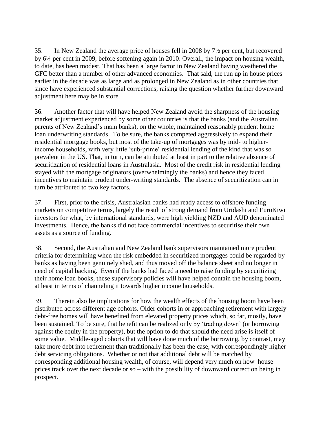35. In New Zealand the average price of houses fell in 2008 by 7½ per cent, but recovered by 6¼ per cent in 2009, before softening again in 2010. Overall, the impact on housing wealth, to date, has been modest. That has been a large factor in New Zealand having weathered the GFC better than a number of other advanced economies. That said, the run up in house prices earlier in the decade was as large and as prolonged in New Zealand as in other countries that since have experienced substantial corrections, raising the question whether further downward adjustment here may be in store.

36. Another factor that will have helped New Zealand avoid the sharpness of the housing market adjustment experienced by some other countries is that the banks (and the Australian parents of New Zealand's main banks), on the whole, maintained reasonably prudent home loan underwriting standards. To be sure, the banks competed aggressively to expand their residential mortgage books, but most of the take-up of mortgages was by mid- to higherincome households, with very little 'sub-prime' residential lending of the kind that was so prevalent in the US. That, in turn, can be attributed at least in part to the relative absence of securitization of residential loans in Australasia. Most of the credit risk in residential lending stayed with the mortgage originators (overwhelmingly the banks) and hence they faced incentives to maintain prudent under-writing standards. The absence of securitization can in turn be attributed to two key factors.

37. First, prior to the crisis, Australasian banks had ready access to offshore funding markets on competitive terms, largely the result of strong demand from Uridashi and EuroKiwi investors for what, by international standards, were high yielding NZD and AUD denominated investments. Hence, the banks did not face commercial incentives to securitise their own assets as a source of funding.

38. Second, the Australian and New Zealand bank supervisors maintained more prudent criteria for determining when the risk embedded in securitized mortgages could be regarded by banks as having been genuinely shed, and thus moved off the balance sheet and no longer in need of capital backing. Even if the banks had faced a need to raise funding by securitizing their home loan books, these supervisory policies will have helped contain the housing boom, at least in terms of channeling it towards higher income households.

39. Therein also lie implications for how the wealth effects of the housing boom have been distributed across different age cohorts. Older cohorts in or approaching retirement with largely debt-free homes will have benefited from elevated property prices which, so far, mostly, have been sustained. To be sure, that benefit can be realized only by 'trading down' (or borrowing against the equity in the property), but the option to do that should the need arise is itself of some value. Middle-aged cohorts that will have done much of the borrowing, by contrast, may take more debt into retirement than traditionally has been the case, with correspondingly higher debt servicing obligations. Whether or not that additional debt will be matched by corresponding additional housing wealth, of course, will depend very much on how house prices track over the next decade or so – with the possibility of downward correction being in prospect.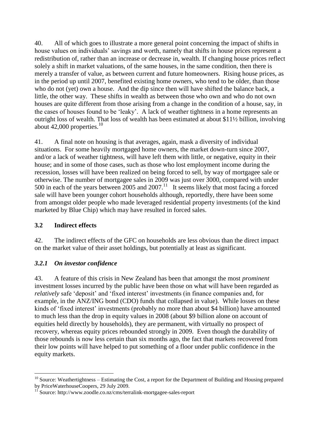40. All of which goes to illustrate a more general point concerning the impact of shifts in house values on individuals' savings and worth, namely that shifts in house prices represent a redistribution of, rather than an increase or decrease in, wealth. If changing house prices reflect solely a shift in market valuations, of the same houses, in the same condition, then there is merely a transfer of value, as between current and future homeowners. Rising house prices, as in the period up until 2007, benefited existing home owners, who tend to be older, than those who do not (yet) own a house. And the dip since then will have shifted the balance back, a little, the other way. These shifts in wealth as between those who own and who do not own houses are quite different from those arising from a change in the condition of a house, say, in the cases of houses found to be 'leaky'. A lack of weather tightness in a home represents an outright loss of wealth. That loss of wealth has been estimated at about \$11½ billion, involving about  $42,000$  properties.<sup>10</sup>

41. A final note on housing is that averages, again, mask a diversity of individual situations. For some heavily mortgaged home owners, the market down-turn since 2007, and/or a lack of weather tightness, will have left them with little, or negative, equity in their house; and in some of those cases, such as those who lost employment income during the recession, losses will have been realized on being forced to sell, by way of mortgagee sale or otherwise. The number of mortgagee sales in 2009 was just over 3000, compared with under 500 in each of the years between  $2005$  and  $2007$ .<sup>11</sup> It seems likely that most facing a forced sale will have been younger cohort households although, reportedly, there have been some from amongst older people who made leveraged residential property investments (of the kind marketed by Blue Chip) which may have resulted in forced sales.

#### **3.2 Indirect effects**

42. The indirect effects of the GFC on households are less obvious than the direct impact on the market value of their asset holdings, but potentially at least as significant.

#### *3.2.1 On investor confidence*

43. A feature of this crisis in New Zealand has been that amongst the most *prominent* investment losses incurred by the public have been those on what will have been regarded as *relatively* safe 'deposit' and 'fixed interest' investments (in finance companies and, for example, in the ANZ/ING bond (CDO) funds that collapsed in value). While losses on these kinds of 'fixed interest' investments (probably no more than about \$4 billion) have amounted to much less than the drop in equity values in 2008 (about \$9 billion alone on account of equities held directly by households), they are permanent, with virtually no prospect of recovery, whereas equity prices rebounded strongly in 2009. Even though the durability of those rebounds is now less certain than six months ago, the fact that markets recovered from their low points will have helped to put something of a floor under public confidence in the equity markets.

 $\overline{a}$  $10$  Source: Weathertightness – Estimating the Cost, a report for the Department of Building and Housing prepared by PriceWaterhouseCoopers, 29 July 2009.

<sup>&</sup>lt;sup>11</sup> Source: http://www.zoodle.co.nz/cms/terralink-mortgagee-sales-report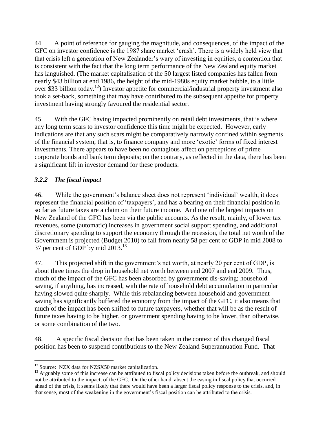44. A point of reference for gauging the magnitude, and consequences, of the impact of the GFC on investor confidence is the 1987 share market 'crash'. There is a widely held view that that crisis left a generation of New Zealander's wary of investing in equities, a contention that is consistent with the fact that the long term performance of the New Zealand equity market has languished. (The market capitalisation of the 50 largest listed companies has fallen from nearly \$43 billion at end 1986, the height of the mid-1980s equity market bubble, to a little over \$33 billion today.<sup>12</sup>) Investor appetite for commercial/industrial property investment also took a set-back, something that may have contributed to the subsequent appetite for property investment having strongly favoured the residential sector.

45. With the GFC having impacted prominently on retail debt investments, that is where any long term scars to investor confidence this time might be expected. However, early indications are that any such scars might be comparatively narrowly confined within segments of the financial system, that is, to finance company and more 'exotic' forms of fixed interest investments. There appears to have been no contagious affect on perceptions of prime corporate bonds and bank term deposits; on the contrary, as reflected in the data, there has been a significant lift in investor demand for these products.

# *3.2.2 The fiscal impact*

46. While the government's balance sheet does not represent 'individual' wealth, it does represent the financial position of 'taxpayers', and has a bearing on their financial position in so far as future taxes are a claim on their future income. And one of the largest impacts on New Zealand of the GFC has been via the public accounts. As the result, mainly, of lower tax revenues, some (automatic) increases in government social support spending, and additional discretionary spending to support the economy through the recession, the total net worth of the Government is projected (Budget 2010) to fall from nearly 58 per cent of GDP in mid 2008 to 37 per cent of GDP by mid  $2013.<sup>13</sup>$ 

47. This projected shift in the government's net worth, at nearly 20 per cent of GDP, is about three times the drop in household net worth between end 2007 and end 2009. Thus, much of the impact of the GFC has been absorbed by government dis-saving; household saving, if anything, has increased, with the rate of household debt accumulation in particular having slowed quite sharply. While this rebalancing between household and government saving has significantly buffered the economy from the impact of the GFC, it also means that much of the impact has been shifted to future taxpayers, whether that will be as the result of future taxes having to be higher, or government spending having to be lower, than otherwise, or some combination of the two.

48. A specific fiscal decision that has been taken in the context of this changed fiscal position has been to suspend contributions to the New Zealand Superannuation Fund. That

 $\overline{a}$  $12$  Source: NZX data for NZSX50 market capitalization.

<sup>&</sup>lt;sup>13</sup> Arguably some of this increase can be attributed to fiscal policy decisions taken before the outbreak, and should not be attributed to the impact, of the GFC. On the other hand, absent the easing in fiscal policy that occurred ahead of the crisis, it seems likely that there would have been a larger fiscal policy response to the crisis, and, in that sense, most of the weakening in the government's fiscal position can be attributed to the crisis.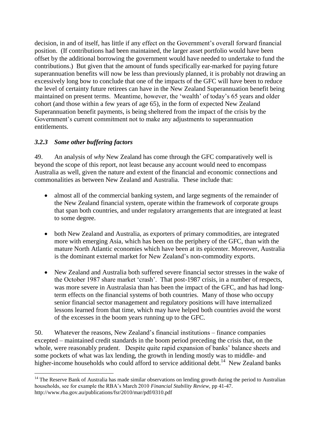decision, in and of itself, has little if any effect on the Government's overall forward financial position. (If contributions had been maintained, the larger asset portfolio would have been offset by the additional borrowing the government would have needed to undertake to fund the contributions.) But given that the amount of funds specifically ear-marked for paying future superannuation benefits will now be less than previously planned, it is probably not drawing an excessively long bow to conclude that one of the impacts of the GFC will have been to reduce the level of certainty future retirees can have in the New Zealand Superannuation benefit being maintained on present terms. Meantime, however, the 'wealth' of today's 65 years and older cohort (and those within a few years of age 65), in the form of expected New Zealand Superannuation benefit payments, is being sheltered from the impact of the crisis by the Government's current commitment not to make any adjustments to superannuation entitlements.

# *3.2.3 Some other buffering factors*

49. An analysis of *why* New Zealand has come through the GFC comparatively well is beyond the scope of this report, not least because any account would need to encompass Australia as well, given the nature and extent of the financial and economic connections and commonalities as between New Zealand and Australia. These include that:

- almost all of the commercial banking system, and large segments of the remainder of the New Zealand financial system, operate within the framework of corporate groups that span both countries, and under regulatory arrangements that are integrated at least to some degree.
- both New Zealand and Australia, as exporters of primary commodities, are integrated more with emerging Asia, which has been on the periphery of the GFC, than with the mature North Atlantic economies which have been at its epicenter. Moreover, Australia is the dominant external market for New Zealand's non-commodity exports.
- New Zealand and Australia both suffered severe financial sector stresses in the wake of the October 1987 share market 'crash'. That post-1987 crisis, in a number of respects, was more severe in Australasia than has been the impact of the GFC, and has had longterm effects on the financial systems of both countries. Many of those who occupy senior financial sector management and regulatory positions will have internalized lessons learned from that time, which may have helped both countries avoid the worst of the excesses in the boom years running up to the GFC.

50. Whatever the reasons, New Zealand's financial institutions – finance companies excepted – maintained credit standards in the boom period preceding the crisis that, on the whole, were reasonably prudent. Despite quite rapid expansion of banks' balance sheets and some pockets of what was lax lending, the growth in lending mostly was to middle- and higher-income households who could afford to service additional debt.<sup>14</sup> New Zealand banks

 $\overline{a}$  $14$  The Reserve Bank of Australia has made similar observations on lending growth during the period to Australian households, see for example the RBA's March 2010 *Financial Stability Review,* pp 41-47. http://www.rba.gov.au/publications/fsr/2010/mar/pdf/0310.pdf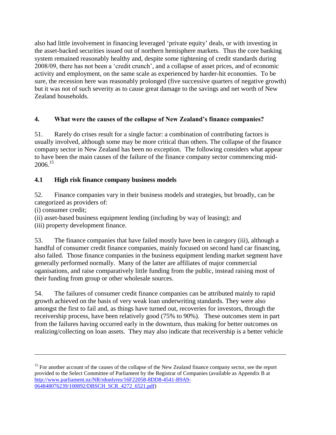also had little involvement in financing leveraged 'private equity' deals, or with investing in the asset-backed securities issued out of northern hemisphere markets. Thus the core banking system remained reasonably healthy and, despite some tightening of credit standards during 2008/09, there has not been a 'credit crunch', and a collapse of asset prices, and of economic activity and employment, on the same scale as experienced by harder-hit economies. To be sure, the recession here was reasonably prolonged (five successive quarters of negative growth) but it was not of such severity as to cause great damage to the savings and net worth of New Zealand households.

## **4. What were the causes of the collapse of New Zealand's finance companies?**

51. Rarely do crises result for a single factor: a combination of contributing factors is usually involved, although some may be more critical than others. The collapse of the finance company sector in New Zealand has been no exception. The following considers what appear to have been the main causes of the failure of the finance company sector commencing mid- $2006.<sup>15</sup>$ 

## **4.1 High risk finance company business models**

52. Finance companies vary in their business models and strategies, but broadly, can be categorized as providers of:

(i) consumer credit;

 $\overline{a}$ 

(ii) asset-based business equipment lending (including by way of leasing); and

(iii) property development finance.

53. The finance companies that have failed mostly have been in category (iii), although a handful of consumer credit finance companies, mainly focused on second hand car financing, also failed. Those finance companies in the business equipment lending market segment have generally performed normally. Many of the latter are affiliates of major commercial oganisations, and raise comparatively little funding from the public, instead raising most of their funding from group or other wholesale sources.

54. The failures of consumer credit finance companies can be attributed mainly to rapid growth achieved on the basis of very weak loan underwriting standards. They were also amongst the first to fail and, as things have turned out, recoveries for investors, through the receivership process, have been relatively good (75% to 90%). These outcomes stem in part from the failures having occurred early in the downturn, thus making for better outcomes on realizing/collecting on loan assets. They may also indicate that receivership is a better vehicle

<sup>&</sup>lt;sup>15</sup> For another account of the causes of the collapse of the New Zealand finance company sector, see the report provided to the Select Committee of Parliament by the Registrar of Companies (available as Appendix B at [http://www.parliament.nz/NR/rdonlyres/16F22058-8DD8-4541-B9A9-](http://www.parliament.nz/NR/rdonlyres/16F22058-8DD8-4541-B9A9-064848076239/100892/DBSCH_SCR_4272_6521.pdf) [064848076239/100892/DBSCH\\_SCR\\_4272\\_6521.pdf\)](http://www.parliament.nz/NR/rdonlyres/16F22058-8DD8-4541-B9A9-064848076239/100892/DBSCH_SCR_4272_6521.pdf)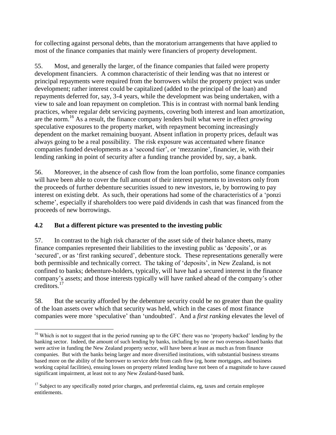for collecting against personal debts, than the moratorium arrangements that have applied to most of the finance companies that mainly were financiers of property development.

55. Most, and generally the larger, of the finance companies that failed were property development financiers. A common characteristic of their lending was that no interest or principal repayments were required from the borrowers whilst the property project was under development; rather interest could be capitalized (added to the principal of the loan) and repayments deferred for, say, 3-4 years, while the development was being undertaken, with a view to sale and loan repayment on completion. This is in contrast with normal bank lending practices, where regular debt servicing payments, covering both interest and loan amortization, are the norm.<sup>16</sup> As a result, the finance company lenders built what were in effect *growing* speculative exposures to the property market, with repayment becoming increasingly dependent on the market remaining buoyant. Absent inflation in property prices, default was always going to be a real possibility. The risk exposure was accentuated where finance companies funded developments as a 'second tier', or 'mezzanine', financier, ie, with their lending ranking in point of security after a funding tranche provided by, say, a bank.

56. Moreover, in the absence of cash flow from the loan portfolio, some finance companies will have been able to cover the full amount of their interest payments to investors only from the proceeds of further debenture securities issued to new investors, ie, by borrowing to pay interest on existing debt. As such, their operations had some of the characteristics of a 'ponzi scheme', especially if shareholders too were paid dividends in cash that was financed from the proceeds of new borrowings.

# **4.2 But a different picture was presented to the investing public**

 $\overline{a}$ 

57. In contrast to the high risk character of the asset side of their balance sheets, many finance companies represented their liabilities to the investing public as 'deposits', or as 'secured', or as 'first ranking secured', debenture stock. These representations generally were both permissible and technically correct. The taking of 'deposits', in New Zealand, is not confined to banks; debenture-holders, typically, will have had a secured interest in the finance company's assets; and those interests typically will have ranked ahead of the company's other creditors. 17

58. But the security afforded by the debenture security could be no greater than the quality of the loan assets over which that security was held, which in the cases of most finance companies were more 'speculative' than 'undoubted'. And a *first ranking* elevates the level of

<sup>&</sup>lt;sup>16</sup> Which is not to suggest that in the period running up to the GFC there was no 'property backed' lending by the banking sector. Indeed, the amount of such lending by banks, including by one or two overseas-based banks that were active in funding the New Zealand property sector, will have been at least as much as from finance companies. But with the banks being larger and more diversified institutions, with substantial business streams based more on the ability of the borrower to service debt from cash flow (eg, home mortgages, and business working capital facilities), ensuing losses on property related lending have not been of a magnitude to have caused significant impairment, at least not to any New Zealand-based bank.

 $17$  Subject to any specifically noted prior charges, and preferential claims, eg, taxes and certain employee entitlements.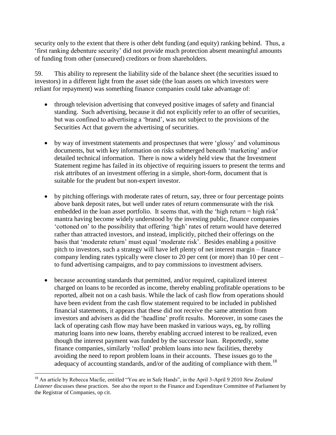security only to the extent that there is other debt funding (and equity) ranking behind. Thus, a 'first ranking debenture security' did not provide much protection absent meaningful amounts of funding from other (unsecured) creditors or from shareholders.

59. This ability to represent the liability side of the balance sheet (the securities issued to investors) in a different light from the asset side (the loan assets on which investors were reliant for repayment) was something finance companies could take advantage of:

- through television advertising that conveyed positive images of safety and financial standing. Such advertising, because it did not explicitly refer to an offer of securities, but was confined to advertising a 'brand', was not subject to the provisions of the Securities Act that govern the advertising of securities.
- by way of investment statements and prospectuses that were 'glossy' and voluminous documents, but with key information on risks submerged beneath 'marketing' and/or detailed technical information. There is now a widely held view that the Investment Statement regime has failed in its objective of requiring issuers to present the terms and risk attributes of an investment offering in a simple, short-form, document that is suitable for the prudent but non-expert investor.
- by pitching offerings with moderate rates of return, say, three or four percentage points above bank deposit rates, but well under rates of return commensurate with the risk embedded in the loan asset portfolio. It seems that, with the 'high return = high risk' mantra having become widely understood by the investing public, finance companies 'cottoned on' to the possibility that offering 'high' rates of return would have deterred rather than attracted investors, and instead, implicitly, pitched their offerings on the basis that 'moderate return' must equal 'moderate risk'. Besides enabling a positive pitch to investors, such a strategy will have left plenty of net interest margin – finance company lending rates typically were closer to 20 per cent (or more) than 10 per cent – to fund advertising campaigns, and to pay commissions to investment advisers.
- because accounting standards that permitted, and/or required, capitalized interest charged on loans to be recorded as income, thereby enabling profitable operations to be reported, albeit not on a cash basis. While the lack of cash flow from operations should have been evident from the cash flow statement required to be included in published financial statements, it appears that these did not receive the same attention from investors and advisers as did the 'headline' profit results. Moreover, in some cases the lack of operating cash flow may have been masked in various ways, eg, by rolling maturing loans into new loans, thereby enabling accrued interest to be realized, even though the interest payment was funded by the successor loan. Reportedly, some finance companies, similarly 'rolled' problem loans into new facilities, thereby avoiding the need to report problem loans in their accounts. These issues go to the adequacy of accounting standards, and/or of the auditing of compliance with them.<sup>18</sup>

<sup>18</sup> An article by Rebecca Macfie, entitled "You are in Safe Hands", in the April 3-April 9 2010 *New Zealand Listener* discusses these practices. See also the report to the Finance and Expenditure Committee of Parliament by the Registrar of Companies, op cit.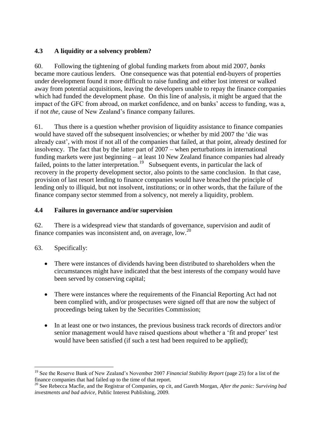## **4.3 A liquidity or a solvency problem?**

60. Following the tightening of global funding markets from about mid 2007, *banks* became more cautious lenders. One consequence was that potential end-buyers of properties under development found it more difficult to raise funding and either lost interest or walked away from potential acquisitions, leaving the developers unable to repay the finance companies which had funded the development phase. On this line of analysis, it might be argued that the impact of the GFC from abroad, on market confidence, and on banks' access to funding, was a, if not *the*, cause of New Zealand's finance company failures.

61. Thus there is a question whether provision of liquidity assistance to finance companies would have staved off the subsequent insolvencies; or whether by mid 2007 the 'die was already cast', with most if not all of the companies that failed, at that point, already destined for insolvency. The fact that by the latter part of 2007 – when perturbations in international funding markets were just beginning – at least 10 New Zealand finance companies had already failed, points to the latter interpretation.<sup>19</sup> Subsequent events, in particular the lack of recovery in the property development sector, also points to the same conclusion. In that case, provision of last resort lending to finance companies would have breached the principle of lending only to illiquid, but not insolvent, institutions; or in other words, that the failure of the finance company sector stemmed from a solvency, not merely a liquidity, problem.

#### **4.4 Failures in governance and/or supervision**

62. There is a widespread view that standards of governance, supervision and audit of finance companies was inconsistent and, on average, low.<sup>20</sup>

# 63. Specifically:

- There were instances of dividends having been distributed to shareholders when the circumstances might have indicated that the best interests of the company would have been served by conserving capital;
- There were instances where the requirements of the Financial Reporting Act had not been complied with, and/or prospectuses were signed off that are now the subject of proceedings being taken by the Securities Commission;
- In at least one or two instances, the previous business track records of directors and/or senior management would have raised questions about whether a 'fit and proper' test would have been satisfied (if such a test had been required to be applied);

<sup>19</sup> See the Reserve Bank of New Zealand's November 2007 *Financial Stability Report* (page 25) for a list of the finance companies that had failed up to the time of that report.

<sup>20</sup> See Rebecca Macfie, and the Registrar of Companies, op cit, and Gareth Morgan, *After the panic: Surviving bad investments and bad advice,* Public Interest Publishing, 2009.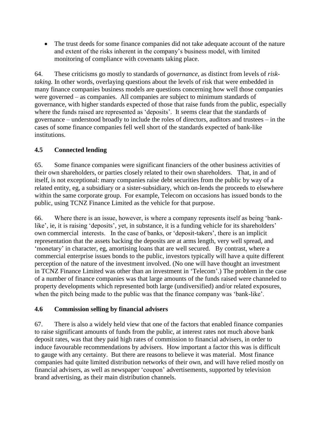• The trust deeds for some finance companies did not take adequate account of the nature and extent of the risks inherent in the company's business model, with limited monitoring of compliance with covenants taking place.

64. These criticisms go mostly to standards of *governance*, as distinct from levels of *risktaking.* In other words, overlaying questions about the levels of risk that were embedded in many finance companies business models are questions concerning how well those companies were governed – as companies. All companies are subject to minimum standards of governance, with higher standards expected of those that raise funds from the public, especially where the funds raised are represented as 'deposits'. It seems clear that the standards of governance – understood broadly to include the roles of directors, auditors and trustees – in the cases of some finance companies fell well short of the standards expected of bank-like institutions.

## **4.5 Connected lending**

65. Some finance companies were significant financiers of the other business activities of their own shareholders, or parties closely related to their own shareholders. That, in and of itself, is not exceptional: many companies raise debt securities from the public by way of a related entity, eg, a subsidiary or a sister-subsidiary, which on-lends the proceeds to elsewhere within the same corporate group. For example, Telecom on occasions has issued bonds to the public, using TCNZ Finance Limited as the vehicle for that purpose.

66. Where there is an issue, however, is where a company represents itself as being 'banklike', ie, it is raising 'deposits', yet, in substance, it is a funding vehicle for its shareholders' own commercial interests. In the case of banks, or 'deposit-takers', there is an implicit representation that the assets backing the deposits are at arms length, very well spread, and 'monetary' in character, eg, amortising loans that are well secured. By contrast, where a commercial enterprise issues bonds to the public, investors typically will have a quite different perception of the nature of the investment involved. (No one will have thought an investment in TCNZ Finance Limited was other than an investment in 'Telecom'.) The problem in the case of a number of finance companies was that large amounts of the funds raised were channeled to property developments which represented both large (undiversified) and/or related exposures, when the pitch being made to the public was that the finance company was 'bank-like'.

#### **4.6 Commission selling by financial advisers**

67. There is also a widely held view that one of the factors that enabled finance companies to raise significant amounts of funds from the public, at interest rates not much above bank deposit rates, was that they paid high rates of commission to financial advisers, in order to induce favourable recommendations by advisers. How important a factor this was is difficult to gauge with any certainty. But there are reasons to believe it was material. Most finance companies had quite limited distribution networks of their own, and will have relied mostly on financial advisers, as well as newspaper 'coupon' advertisements, supported by television brand advertising, as their main distribution channels.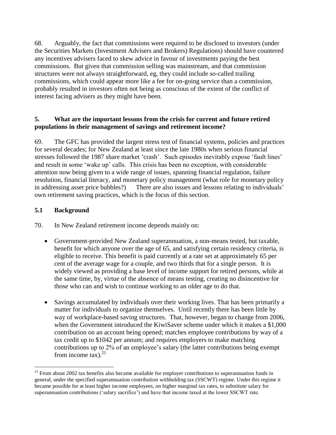68. Arguably, the fact that commissions were required to be disclosed to investors (under the Securities Markets (Investment Advisers and Brokers) Regulations) should have countered any incentives advisers faced to skew advice in favour of investments paying the best commissions. But given that commission selling was mainstream, and that commission structures were not always straightforward, eg, they could include so-called trailing commissions, which could appear more like a fee for on-going service than a commission, probably resulted in investors often not being as conscious of the extent of the conflict of interest facing advisers as they might have been.

#### **5. What are the important lessons from the crisis for current and future retired populations in their management of savings and retirement income?**

69. The GFC has provided the largest stress test of financial systems, policies and practices for several decades; for New Zealand at least since the late 1980s when serious financial stresses followed the 1987 share market 'crash'. Such episodes inevitably expose 'fault lines' and result in some 'wake up' calls. This crisis has been no exception, with considerable attention now being given to a wide range of issues, spanning financial regulation, failure resolution, financial literacy, and monetary policy management (what role for monetary policy in addressing asset price bubbles?) There are also issues and lessons relating to individuals' own retirement saving practices, which is the focus of this section.

# **5.1 Background**

 $\overline{a}$ 

70. In New Zealand retirement income depends mainly on:

- Government-provided New Zealand superannuation, a non-means tested, but taxable, benefit for which anyone over the age of 65, and satisfying certain residency criteria, is eligible to receive. This benefit is paid currently at a rate set at approximately 65 per cent of the average wage for a couple, and two thirds that for a single person. It is widely viewed as providing a base level of income support for retired persons, while at the same time, by, virtue of the absence of means testing, creating no disincentive for those who can and wish to continue working to an older age to do that.
- Savings accumulated by individuals over their working lives. That has been primarily a matter for individuals to organize themselves. Until recently there has been little by way of workplace-based saving structures. That, however, began to change from 2006, when the Government introduced the KiwiSaver scheme under which it makes a \$1,000 contribution on an account being opened; matches employee contributions by way of a tax credit up to \$1042 per annum; and requires employers to make matching contributions up to 2% of an employee's salary (the latter contributions being exempt from income tax). $21$

 $21$  From about 2002 tax benefits also became available for employer contributions to superannuation funds in general, under the specified superannuation contribution withholding tax (SSCWT) regime. Under this regime it became possible for at least higher income employees, on higher marginal tax rates, to substitute salary for superannuation contributions ('salary sacrifice') and have that income taxed at the lower SSCWT rate.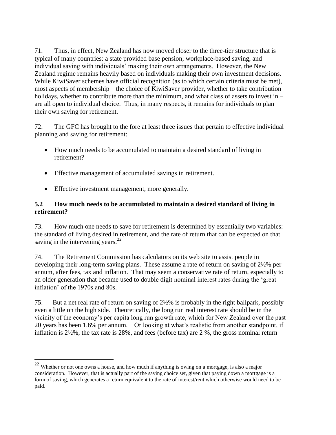71. Thus, in effect, New Zealand has now moved closer to the three-tier structure that is typical of many countries: a state provided base pension; workplace-based saving, and individual saving with individuals' making their own arrangements. However, the New Zealand regime remains heavily based on individuals making their own investment decisions. While KiwiSaver schemes have official recognition (as to which certain criteria must be met), most aspects of membership – the choice of KiwiSaver provider, whether to take contribution holidays, whether to contribute more than the minimum, and what class of assets to invest in – are all open to individual choice. Thus, in many respects, it remains for individuals to plan their own saving for retirement.

72. The GFC has brought to the fore at least three issues that pertain to effective individual planning and saving for retirement:

- How much needs to be accumulated to maintain a desired standard of living in retirement?
- Effective management of accumulated savings in retirement.
- Effective investment management, more generally.

 $\overline{a}$ 

## **5.2 How much needs to be accumulated to maintain a desired standard of living in retirement?**

73. How much one needs to save for retirement is determined by essentially two variables: the standard of living desired in retirement, and the rate of return that can be expected on that saving in the intervening years. $^{22}$ 

74. The Retirement Commission has calculators on its web site to assist people in developing their long-term saving plans. These assume a rate of return on saving of 2½% per annum, after fees, tax and inflation. That may seem a conservative rate of return, especially to an older generation that became used to double digit nominal interest rates during the 'great inflation' of the 1970s and 80s.

75. But a net real rate of return on saving of 2½% is probably in the right ballpark, possibly even a little on the high side. Theoretically, the long run real interest rate should be in the vicinity of the economy's per capita long run growth rate, which for New Zealand over the past 20 years has been 1.6% per annum. Or looking at what's realistic from another standpoint, if inflation is 2½%, the tax rate is 28%, and fees (before tax) are 2 %, the gross nominal return

 $22$  Whether or not one owns a house, and how much if anything is owing on a mortgage, is also a major consideration. However, that is actually part of the saving choice set, given that paying down a mortgage is a form of saving, which generates a return equivalent to the rate of interest/rent which otherwise would need to be paid.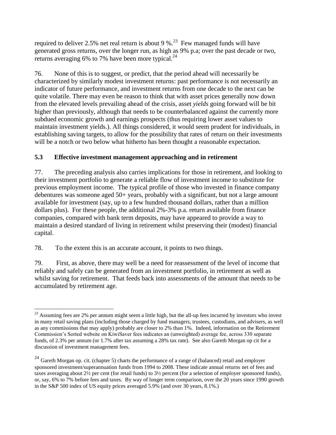required to deliver 2.5% net real return is about 9 %.<sup>23</sup> Few managed funds will have generated gross returns, over the longer run, as high as 9% p.a; over the past decade or two, returns averaging 6% to 7% have been more typical. $^{24}$ 

76. None of this is to suggest, or predict, that the period ahead will necessarily be characterized by similarly modest investment returns: past performance is not necessarily an indicator of future performance, and investment returns from one decade to the next can be quite volatile. There may even be reason to think that with asset prices generally now down from the elevated levels prevailing ahead of the crisis, asset *yields* going forward will be bit higher than previously, although that needs to be counterbalanced against the currently more subdued economic growth and earnings prospects (thus requiring lower asset values to maintain investment yields.). All things considered, it would seem prudent for individuals, in establishing saving targets, to allow for the possibility that rates of return on their investments will be a notch or two below what hitherto has been thought a reasonable expectation.

## **5.3 Effective investment management approaching and in retirement**

77. The preceding analysis also carries implications for those in retirement, and looking to their investment portfolio to generate a reliable flow of investment income to substitute for previous employment income. The typical profile of those who invested in finance company debentures was someone aged 50+ years, probably with a significant, but not a large amount available for investment (say, up to a few hundred thousand dollars, rather than a million dollars plus). For these people, the additional 2%-3% p.a. return available from finance companies, compared with bank term deposits, may have appeared to provide a way to maintain a desired standard of living in retirement whilst preserving their (modest) financial capital.

78. To the extent this is an accurate account, it points to two things.

79. First, as above, there may well be a need for reassessment of the level of income that reliably and safely can be generated from an investment portfolio, in retirement as well as whilst saving for retirement. That feeds back into assessments of the amount that needs to be accumulated by retirement age.

 $\overline{a}$  $^{23}$  Assuming fees are 2% per annum might seem a little high, but the all-up fees incurred by investors who invest in many retail saving plans (including those charged by fund managers, trustees, custodians, and advisers, as well as any commissions that may apply) probably are closer to 2% than 1%. Indeed, information on the Retirement Commission's Sorted website on KiwiSaver fees indicates an (unweighted) average fee, across 330 separate funds, of 2.3% per annum (or 1.7% after tax assuming a 28% tax rate). See also Gareth Morgan op cit for a discussion of investment management fees.

<sup>&</sup>lt;sup>24</sup> Gareth Morgan op. cit. (chapter 5) charts the performance of a range of (balanced) retail and employer sponsored investment/superannuation funds from 1994 to 2008. These indicate annual returns net of fees and taxes averaging about 2½ per cent (for retail funds) to 3½ percent (for a selection of employer sponsored funds), or, say, 6% to 7% before fees and taxes. By way of longer term comparison, over the 20 years since 1990 growth in the S&P 500 index of US equity prices averaged 5.9% (and over 30 years, 8.1%.)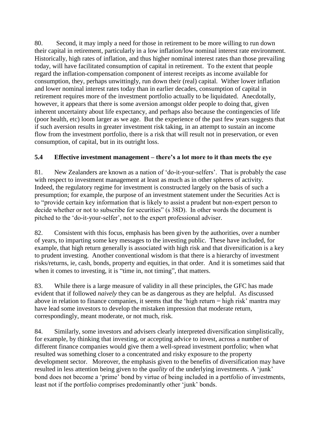80. Second, it may imply a need for those in retirement to be more willing to run down their capital in retirement, particularly in a low inflation/low nominal interest rate environment. Historically, high rates of inflation, and thus higher nominal interest rates than those prevailing today, will have facilitated consumption of capital in retirement. To the extent that people regard the inflation-compensation component of interest receipts as income available for consumption, they, perhaps unwittingly, run down their (real) capital. Wither lower inflation and lower nominal interest rates today than in earlier decades, consumption of capital in retirement requires more of the investment portfolio actually to be liquidated. Anecdotally, however, it appears that there is some aversion amongst older people to doing that, given inherent uncertainty about life expectancy, and perhaps also because the contingencies of life (poor health, etc) loom larger as we age. But the experience of the past few years suggests that if such aversion results in greater investment risk taking, in an attempt to sustain an income flow from the investment portfolio, there is a risk that will result not in preservation, or even consumption, of capital, but in its outright loss.

## **5.4 Effective investment management – there's a lot more to it than meets the eye**

81. New Zealanders are known as a nation of 'do-it-your-selfers'. That is probably the case with respect to investment management at least as much as in other spheres of activity. Indeed, the regulatory regime for investment is constructed largely on the basis of such a presumption; for example, the purpose of an investment statement under the Securities Act is to "provide certain key information that is likely to assist a prudent but non-expert person to decide whether or not to subscribe for securities" (s 38D). In other words the document is pitched to the 'do-it-your-selfer', not to the expert professional adviser.

82. Consistent with this focus, emphasis has been given by the authorities, over a number of years, to imparting some key messages to the investing public. These have included, for example, that high return generally is associated with high risk and that diversification is a key to prudent investing. Another conventional wisdom is that there is a hierarchy of investment risks/returns, ie, cash, bonds, property and equities, in that order. And it is sometimes said that when it comes to investing, it is "time in, not timing", that matters.

83. While there is a large measure of validity in all these principles, the GFC has made evident that if followed *naively* they can be as dangerous as they are helpful. As discussed above in relation to finance companies, it seems that the 'high return = high risk' mantra may have lead some investors to develop the mistaken impression that moderate return, correspondingly, meant moderate, or not much, risk.

84. Similarly, some investors and advisers clearly interpreted diversification simplistically, for example, by thinking that investing, or accepting advice to invest, across a number of different finance companies would give them a well-spread investment portfolio; when what resulted was something closer to a concentrated and risky exposure to the property development sector. Moreover, the emphasis given to the benefits of diversification may have resulted in less attention being given to the *quality* of the underlying investments. A 'junk' bond does not become a 'prime' bond by virtue of being included in a portfolio of investments, least not if the portfolio comprises predominantly other 'junk' bonds.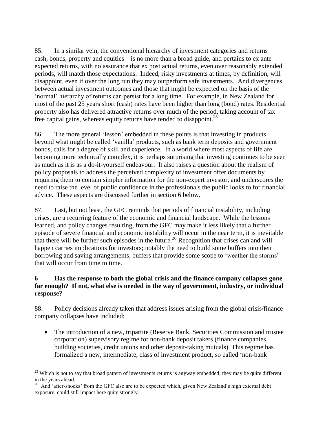85. In a similar vein, the conventional hierarchy of investment categories and returns – cash, bonds, property and equities – is no more than a broad guide, and pertains to ex ante expected returns, with no assurance that ex post actual returns, even over reasonably extended periods, will match those expectations. Indeed, risky investments at times, by definition, will disappoint, even if over the long run they may outperform safe investments. And divergences between actual investment outcomes and those that might be expected on the basis of the 'normal' hierarchy of returns can persist for a long time. For example, in New Zealand for most of the past 25 years short (cash) rates have been higher than long (bond) rates. Residential property also has delivered attractive returns over much of the period, taking account of tax free capital gains, whereas equity returns have tended to disappoint.<sup>25</sup>

86. The more general 'lesson' embedded in these points is that investing in products beyond what might be called 'vanilla' products, such as bank term deposits and government bonds, calls for a degree of skill and experience. In a world where most aspects of life are becoming more technically complex, it is perhaps surprising that investing continues to be seen as much as it is as a do-it-yourself endeavour. It also raises a question about the realism of policy proposals to address the perceived complexity of investment offer documents by requiring them to contain simpler information for the non-expert investor, and underscores the need to raise the level of public confidence in the professionals the public looks to for financial advice. These aspects are discussed further in section 6 below.

87. Last, but not least, the GFC reminds that periods of financial instability, including crises, are a recurring feature of the economic and financial landscape. While the lessons learned, and policy changes resulting, from the GFC may make it less likely that a further episode of severe financial and economic instability will occur in the near term, it is inevitable that there will be further such episodes in the future.<sup>26</sup> Recognition that crises can and will happen carries implications for investors; notably the need to build some buffers into their borrowing and saving arrangements, buffers that provide some scope to 'weather the storms' that will occur from time to time.

## **6 Has the response to both the global crisis and the finance company collapses gone far enough? If not, what else is needed in the way of government, industry, or individual response?**

88. Policy decisions already taken that address issues arising from the global crisis/finance company collapses have included:

• The introduction of a new, tripartite (Reserve Bank, Securities Commission and trustee corporation) supervisory regime for non-bank deposit takers (finance companies, building societies, credit unions and other deposit-taking mutuals). This regime has formalized a new, intermediate, class of investment product, so called 'non-bank

 $25$  Which is not to say that broad pattern of investments returns is anyway embedded; they may be quite different in the years ahead.

<sup>&</sup>lt;sup>26</sup> And 'after-shocks' from the GFC also are to be expected which, given New Zealand's high external debt exposure, could still impact here quite strongly.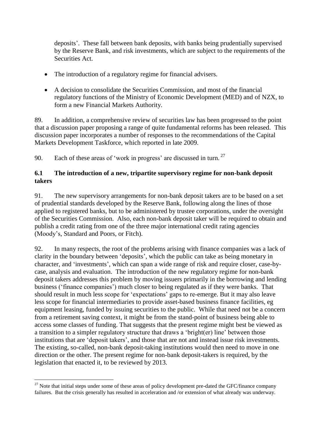deposits'. These fall between bank deposits, with banks being prudentially supervised by the Reserve Bank, and risk investments, which are subject to the requirements of the Securities Act.

- The introduction of a regulatory regime for financial advisers.
- A decision to consolidate the Securities Commission, and most of the financial regulatory functions of the Ministry of Economic Development (MED) and of NZX, to form a new Financial Markets Authority.

89. In addition, a comprehensive review of securities law has been progressed to the point that a discussion paper proposing a range of quite fundamental reforms has been released. This discussion paper incorporates a number of responses to the recommendations of the Capital Markets Development Taskforce, which reported in late 2009.

90. Each of these areas of 'work in progress' are discussed in turn.  $27$ 

#### **6.1 The introduction of a new, tripartite supervisory regime for non-bank deposit takers**

91. The new supervisory arrangements for non-bank deposit takers are to be based on a set of prudential standards developed by the Reserve Bank, following along the lines of those applied to registered banks, but to be administered by trustee corporations, under the oversight of the Securities Commission. Also, each non-bank deposit taker will be required to obtain and publish a credit rating from one of the three major international credit rating agencies (Moody's, Standard and Poors, or Fitch).

92. In many respects, the root of the problems arising with finance companies was a lack of clarity in the boundary between 'deposits', which the public can take as being monetary in character, and 'investments', which can span a wide range of risk and require closer, case-bycase, analysis and evaluation. The introduction of the new regulatory regime for non-bank deposit takers addresses this problem by moving issuers primarily in the borrowing and lending business ('finance companies') much closer to being regulated as if they were banks. That should result in much less scope for 'expectations' gaps to re-emerge. But it may also leave less scope for financial intermediaries to provide asset-based business finance facilities, eg equipment leasing, funded by issuing securities to the public. While that need not be a concern from a retirement saving context, it might be from the stand-point of business being able to access some classes of funding. That suggests that the present regime might best be viewed as a transition to a simpler regulatory structure that draws a 'bright(er) line' between those institutions that are 'deposit takers', and those that are not and instead issue risk investments. The existing, so-called, non-bank deposit-taking institutions would then need to move in one direction or the other. The present regime for non-bank deposit-takers is required, by the legislation that enacted it, to be reviewed by 2013.

 $27$  Note that initial steps under some of these areas of policy development pre-dated the GFC/finance company failures. But the crisis generally has resulted in acceleration and /or extension of what already was underway.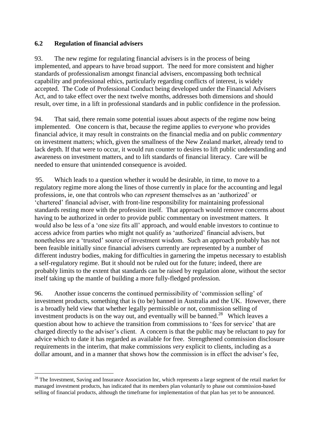#### **6.2 Regulation of financial advisers**

 $\overline{a}$ 

93. The new regime for regulating financial advisers is in the process of being implemented, and appears to have broad support. The need for more consistent and higher standards of professionalism amongst financial advisers, encompassing both technical capability and professional ethics, particularly regarding conflicts of interest, is widely accepted. The Code of Professional Conduct being developed under the Financial Advisers Act, and to take effect over the next twelve months, addresses both dimensions and should result, over time, in a lift in professional standards and in public confidence in the profession.

94. That said, there remain some potential issues about aspects of the regime now being implemented. One concern is that, because the regime applies to *everyone* who provides financial advice, it may result in constraints on the financial media and on public *commentary* on investment matters; which, given the smallness of the New Zealand market, already tend to lack depth. If that were to occur, it would run counter to desires to lift public understanding and awareness on investment matters, and to lift standards of financial literacy. Care will be needed to ensure that unintended consequence is avoided.

95. Which leads to a question whether it would be desirable, in time, to move to a regulatory regime more along the lines of those currently in place for the accounting and legal professions, ie, one that controls who can *represent* themselves as an 'authorized' or 'chartered' financial adviser, with front-line responsibility for maintaining professional standards resting more with the profession itself. That approach would remove concerns about having to be authorized in order to provide public commentary on investment matters. It would also be less of a 'one size fits all' approach, and would enable investors to continue to access advice from parties who might not qualify as 'authorized' financial advisers, but nonetheless are a 'trusted' source of investment wisdom. Such an approach probably has not been feasible initially since financial advisers currently are represented by a number of different industry bodies, making for difficulties in garnering the impetus necessary to establish a self-regulatory regime. But it should not be ruled out for the future; indeed, there are probably limits to the extent that standards can be raised by regulation alone, without the sector itself taking up the mantle of building a more fully-fledged profession.

96. Another issue concerns the continued permissibility of 'commission selling' of investment products, something that is (to be) banned in Australia and the UK. However, there is a broadly held view that whether legally permissible or not, commission selling of investment products is on the way out, and eventually will be banned.<sup>28</sup> Which leaves a question about how to achieve the transition from commissions to 'fees for service' that are charged directly to the adviser's client. A concern is that the public may be reluctant to pay for advice which to date it has regarded as available for free. Strengthened commission disclosure requirements in the interim, that make commissions *very* explicit to clients, including as a dollar amount, and in a manner that shows how the commission is in effect the adviser's fee,

 $28$  The Investment, Saving and Insurance Association Inc, which represents a large segment of the retail market for managed investment products, has indicated that its members plan voluntarily to phase out commission-based selling of financial products, although the timeframe for implementation of that plan has yet to be announced.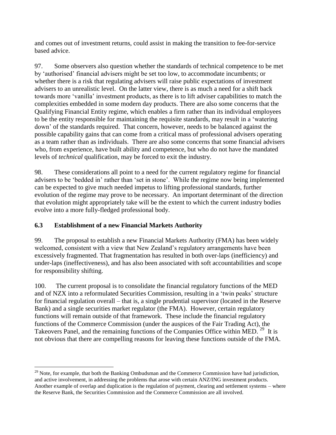and comes out of investment returns, could assist in making the transition to fee-for-service based advice.

97. Some observers also question whether the standards of technical competence to be met by 'authorised' financial advisers might be set too low, to accommodate incumbents; or whether there is a risk that regulating advisers will raise public expectations of investment advisers to an unrealistic level. On the latter view, there is as much a need for a shift back towards more 'vanilla' investment products, as there is to lift adviser capabilities to match the complexities embedded in some modern day products. There are also some concerns that the Qualifying Financial Entity regime, which enables a firm rather than its individual employees to be the entity responsible for maintaining the requisite standards, may result in a 'watering down' of the standards required. That concern, however, needs to be balanced against the possible capability gains that can come from a critical mass of professional advisers operating as a team rather than as individuals. There are also some concerns that some financial advisers who, from experience, have built ability and competence, but who do not have the mandated levels of *technical* qualification, may be forced to exit the industry.

98. These considerations all point to a need for the current regulatory regime for financial advisers to be 'bedded in' rather than 'set in stone'. While the regime now being implemented can be expected to give much needed impetus to lifting professional standards, further evolution of the regime may prove to be necessary. An important determinant of the direction that evolution might appropriately take will be the extent to which the current industry bodies evolve into a more fully-fledged professional body.

# **6.3 Establishment of a new Financial Markets Authority**

 $\overline{a}$ 

99. The proposal to establish a new Financial Markets Authority (FMA) has been widely welcomed, consistent with a view that New Zealand's regulatory arrangements have been excessively fragmented. That fragmentation has resulted in both over-laps (inefficiency) and under-laps (ineffectiveness), and has also been associated with soft accountabilities and scope for responsibility shifting.

100. The current proposal is to consolidate the financial regulatory functions of the MED and of NZX into a reformulated Securities Commission, resulting in a 'twin peaks' structure for financial regulation overall – that is, a single prudential supervisor (located in the Reserve Bank) and a single securities market regulator (the FMA). However, certain regulatory functions will remain outside of that framework. These include the financial regulatory functions of the Commerce Commission (under the auspices of the Fair Trading Act), the Takeovers Panel, and the remaining functions of the Companies Office within MED.<sup>29</sup> It is not obvious that there are compelling reasons for leaving these functions outside of the FMA.

 $^{29}$  Note, for example, that both the Banking Ombudsman and the Commerce Commission have had jurisdiction, and active involvement, in addressing the problems that arose with certain ANZ/ING investment products. Another example of overlap and duplication is the regulation of payment, clearing and settlement systems – where the Reserve Bank, the Securities Commission and the Commerce Commission are all involved.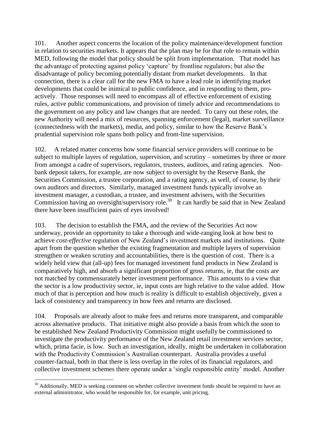101. Another aspect concerns the location of the policy maintenance/development function in relation to securities markets. It appears that the plan may be for that role to remain within MED, following the model that policy should be split from implementation. That model has the advantage of protecting against policy 'capture' by frontline regulators; but also the disadvantage of policy becoming potentially distant from market developments. In that connection, there is a clear call for the new FMA to have a lead role in identifying market developments that could be inimical to public confidence, and in responding to them, proactively. Those responses will need to encompass all of effective enforcement of existing rules, active public communications, and provision of timely advice and recommendations to the government on any policy and law changes that are needed. To carry out these roles, the new Authority will need a mix of resources, spanning enforcement (legal), market surveillance (connectedness with the markets), media, and policy, similar to how the Reserve Bank's prudential supervision role spans both policy and front-line supervision.

102. A related matter concerns how some financial service providers will continue to be subject to multiple layers of regulation, supervision, and scrutiny – sometimes by three or more from amongst a cadre of supervisors, regulators, trustees, auditors, and rating agencies. Nonbank deposit takers, for example, are now subject to oversight by the Reserve Bank, the Securities Commission, a trustee corporation, and a rating agency, as well, of course, by their own auditors and directors. Similarly, managed investment funds typically involve an investment manager, a custodian, a trustee, and investment advisers, with the Securities Commission having an oversight/supervisory role.<sup>30</sup> It can hardly be said that in New Zealand there have been insufficient pairs of eyes involved!

103. The decision to establish the FMA, and the review of the Securities Act now underway, provide an opportunity to take a thorough and wide-ranging look at how best to achieve *cost-effective* regulation of New Zealand's investment markets and institutions. Quite apart from the question whether the existing fragmentation and multiple layers of supervision strengthen or weaken scrutiny and accountabilities, there is the question of cost. There is a widely held view that (all-up) fees for managed investment fund products in New Zealand is comparatively high, and absorb a significant proportion of gross returns, ie, that the costs are not matched by commensurately better investment performance. This amounts to a view that the sector is a low productivity sector, ie, input costs are high relative to the value added. How much of that is perception and how much is reality is difficult to establish objectively, given a lack of consistency and transparency in how fees and returns are disclosed.

104. Proposals are already afoot to make fees and returns more transparent, and comparable across alternative products. That initiative might also provide a basis from which the soon to be established New Zealand Productivity Commission might usefully be commissioned to investigate the productivity performance of the New Zealand retail investment services sector, which, prima facie, is low. Such an investigation, ideally, might be undertaken in collaboration with the Productivity Commission's Australian counterpart. Australia provides a useful counter-factual, both in that there is less overlap in the roles of its financial regulators, and collective investment schemes there operate under a 'single responsible entity' model. Another

 $30$  Additionally, MED is seeking comment on whether collective investment funds should be required to have an external administrator, who would be responsible for, for example, unit pricing.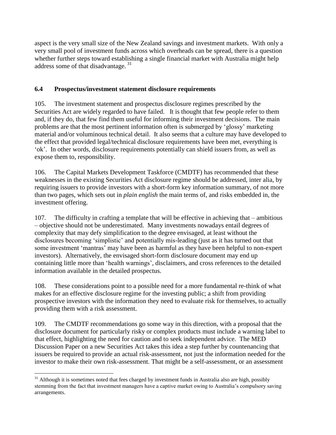aspect is the very small size of the New Zealand savings and investment markets. With only a very small pool of investment funds across which overheads can be spread, there is a question whether further steps toward establishing a single financial market with Australia might help address some of that disadvantage. <sup>31</sup>

#### **6.4 Prospectus/investment statement disclosure requirements**

105. The investment statement and prospectus disclosure regimes prescribed by the Securities Act are widely regarded to have failed. It is thought that few people refer to them and, if they do, that few find them useful for informing their investment decisions. The main problems are that the most pertinent information often is submerged by 'glossy' marketing material and/or voluminous technical detail. It also seems that a culture may have developed to the effect that provided legal/technical disclosure requirements have been met, everything is 'ok'. In other words, disclosure requirements potentially can shield issuers from, as well as expose them to, responsibility.

106. The Capital Markets Development Taskforce (CMDTF) has recommended that these weaknesses in the existing Securities Act disclosure regime should be addressed, inter alia, by requiring issuers to provide investors with a short-form key information summary, of not more than two pages, which sets out in *plain english* the main terms of, and risks embedded in, the investment offering.

107. The difficulty in crafting a template that will be effective in achieving that – ambitious – objective should not be underestimated. Many investments nowadays entail degrees of complexity that may defy simplification to the degree envisaged, at least without the disclosures becoming 'simplistic' and potentially mis-leading (just as it has turned out that some investment 'mantras' may have been as harmful as they have been helpful to non-expert investors). Alternatively, the envisaged short-form disclosure document may end up containing little more than 'health warnings', disclaimers, and cross references to the detailed information available in the detailed prospectus.

108. These considerations point to a possible need for a more fundamental re-think of what makes for an effective disclosure regime for the investing public; a shift from providing prospective investors with the information they need to evaluate risk for themselves, to actually providing them with a risk assessment.

109. The CMDTF recommendations go some way in this direction, with a proposal that the disclosure document for particularly risky or complex products must include a warning label to that effect, highlighting the need for caution and to seek independent advice. The MED Discussion Paper on a new Securities Act takes this idea a step further by countenancing that issuers be required to provide an actual risk-assessment, not just the information needed for the investor to make their own risk-assessment. That might be a self-assessment, or an assessment

<sup>&</sup>lt;sup>31</sup> Although it is sometimes noted that fees charged by investment funds in Australia also are high, possibly stemming from the fact that investment managers have a captive market owing to Australia's compulsory saving arrangements.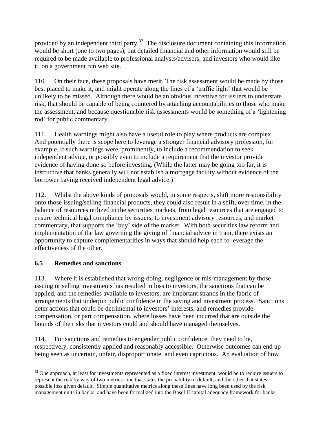provided by an independent third party.<sup>32</sup> The disclosure document containing this information would be short (one to two pages), but detailed financial and other information would still be required to be made available to professional analysts/advisers, and investors who would like it, on a government run web site.

110. On their face, these proposals have merit. The risk assessment would be made by those best placed to make it, and might operate along the lines of a 'traffic light' that would be unlikely to be missed. Although there would be an obvious incentive for issuers to understate risk, that should be capable of being countered by attaching accountabilities to those who make the assessment; and because questionable risk assessments would be something of a 'lightening rod' for public commentary.

111. Health warnings might also have a useful role to play where products are complex. And potentially there is scope here to leverage a stronger financial advisory profession, for example, if such warnings were, prominently, to include a recommendation to seek independent advice, or possibly even to include a requirement that the investor provide evidence of having done so before investing. (While the latter may be going too far, it is instructive that banks generally will not establish a mortgage facility without evidence of the borrower having received independent legal advice.)

112. Whilst the above kinds of proposals would, in some respects, shift more responsibility onto those issuing/selling financial products, they could also result in a shift, over time, in the balance of resources utilized in the securities markets, from legal resources that are engaged to ensure technical legal compliance by issuers, to investment advisory resources, and market commentary, that supports the 'buy' side of the market. With both securities law reform and implementation of the law governing the giving of financial advice in train, there exists an opportunity to capture complementarities in ways that should help each to leverage the effectiveness of the other.

# **6.5 Remedies and sanctions**

113. Where it is established that wrong-doing, negligence or mis-management by those issuing or selling investments has resulted in loss to investors, the sanctions that can be applied, and the remedies available to investors, are important strands in the fabric of arrangements that underpin public confidence in the saving and investment process. Sanctions deter actions that could be detrimental to investors' interests, and remedies provide compensation, or part compensation, where losses have been incurred that are outside the bounds of the risks that investors could and should have managed themselves.

114. For sanctions and remedies to engender public confidence, they need to be, respectively, consistently applied and reasonably accessible. Otherwise outcomes can end up being seen as uncertain, unfair, disproportionate, and even capricious. An evaluation of how

 $\overline{a}$  $32$  One approach, at least for investments represented as a fixed interest investment, would be to require issuers to represent the risk by way of two metrics: one that states the probability of default, and the other that states possible loss given default. Simple quantitative metrics along these lines have long been used by the risk management units in banks, and have been formalized into the Basel II capital adequacy framework for banks.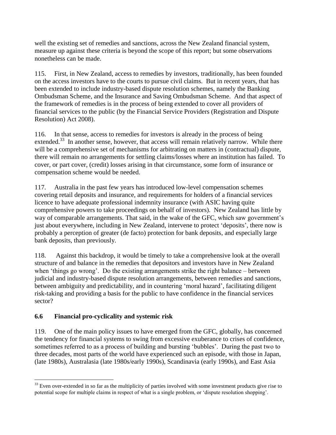well the existing set of remedies and sanctions, across the New Zealand financial system, measure up against these criteria is beyond the scope of this report; but some observations nonetheless can be made.

115. First, in New Zealand, access to remedies by investors, traditionally, has been founded on the access investors have to the courts to pursue civil claims. But in recent years, that has been extended to include industry-based dispute resolution schemes, namely the Banking Ombudsman Scheme, and the Insurance and Saving Ombudsman Scheme. And that aspect of the framework of remedies is in the process of being extended to cover all providers of financial services to the public (by the Financial Service Providers (Registration and Dispute Resolution) Act 2008).

116. In that sense, access to remedies for investors is already in the process of being extended.<sup>33</sup> In another sense, however, that access will remain relatively narrow. While there will be a comprehensive set of mechanisms for arbitrating on matters in (contractual) dispute, there will remain no arrangements for settling claims/losses where an institution has failed. To cover, or part cover, (credit) losses arising in that circumstance, some form of insurance or compensation scheme would be needed.

117. Australia in the past few years has introduced low-level compensation schemes covering retail deposits and insurance, and requirements for holders of a financial services licence to have adequate professional indemnity insurance (with ASIC having quite comprehensive powers to take proceedings on behalf of investors). New Zealand has little by way of comparable arrangements. That said, in the wake of the GFC, which saw government's just about everywhere, including in New Zealand, intervene to protect 'deposits', there now is probably a perception of greater (de facto) protection for bank deposits, and especially large bank deposits, than previously.

118. Against this backdrop, it would be timely to take a comprehensive look at the overall structure of and balance in the remedies that depositors and investors have in New Zealand when 'things go wrong'. Do the existing arrangements strike the right balance – between judicial and industry-based dispute resolution arrangements, between remedies and sanctions, between ambiguity and predictability, and in countering 'moral hazard', facilitating diligent risk-taking and providing a basis for the public to have confidence in the financial services sector?

# **6.6 Financial pro-cyclicality and systemic risk**

119. One of the main policy issues to have emerged from the GFC, globally, has concerned the tendency for financial systems to swing from excessive exuberance to crises of confidence, sometimes referred to as a process of building and bursting 'bubbles'. During the past two to three decades, most parts of the world have experienced such an episode, with those in Japan, (late 1980s), Australasia (late 1980s/early 1990s), Scandinavia (early 1990s), and East Asia

 $\overline{a}$  $33$  Even over-extended in so far as the multiplicity of parties involved with some investment products give rise to potential scope for multiple claims in respect of what is a single problem, or 'dispute resolution shopping'.